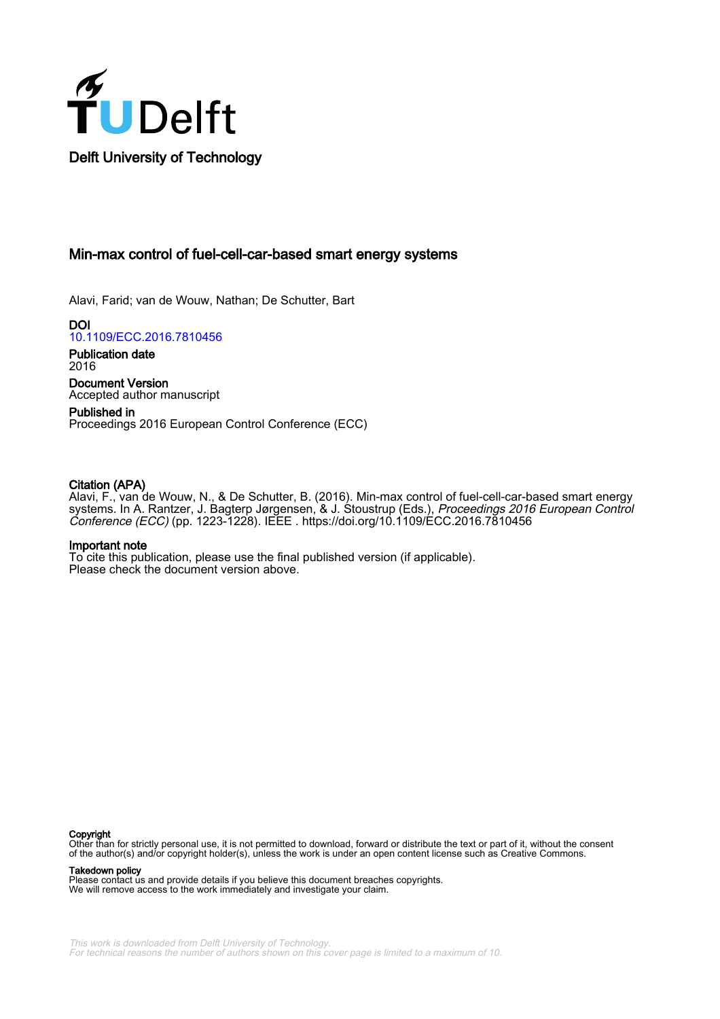

Min-max control of fuel-cell-car-based smart energy systems

Alavi, Farid; van de Wouw, Nathan; De Schutter, Bart

DOI [10.1109/ECC.2016.7810456](https://doi.org/10.1109/ECC.2016.7810456)

Publication date 2016

Document Version Accepted author manuscript

Published in Proceedings 2016 European Control Conference (ECC)

# Citation (APA)

Alavi, F., van de Wouw, N., & De Schutter, B. (2016). Min-max control of fuel-cell-car-based smart energy systems. In A. Rantzer, J. Bagterp Jørgensen, & J. Stoustrup (Eds.), *Proceedings 2016 European Control* Conference (ECC) (pp. 1223-1228). IEEE . <https://doi.org/10.1109/ECC.2016.7810456>

# Important note

To cite this publication, please use the final published version (if applicable). Please check the document version above.

#### Copyright

Other than for strictly personal use, it is not permitted to download, forward or distribute the text or part of it, without the consent of the author(s) and/or copyright holder(s), unless the work is under an open content license such as Creative Commons.

Takedown policy

Please contact us and provide details if you believe this document breaches copyrights. We will remove access to the work immediately and investigate your claim.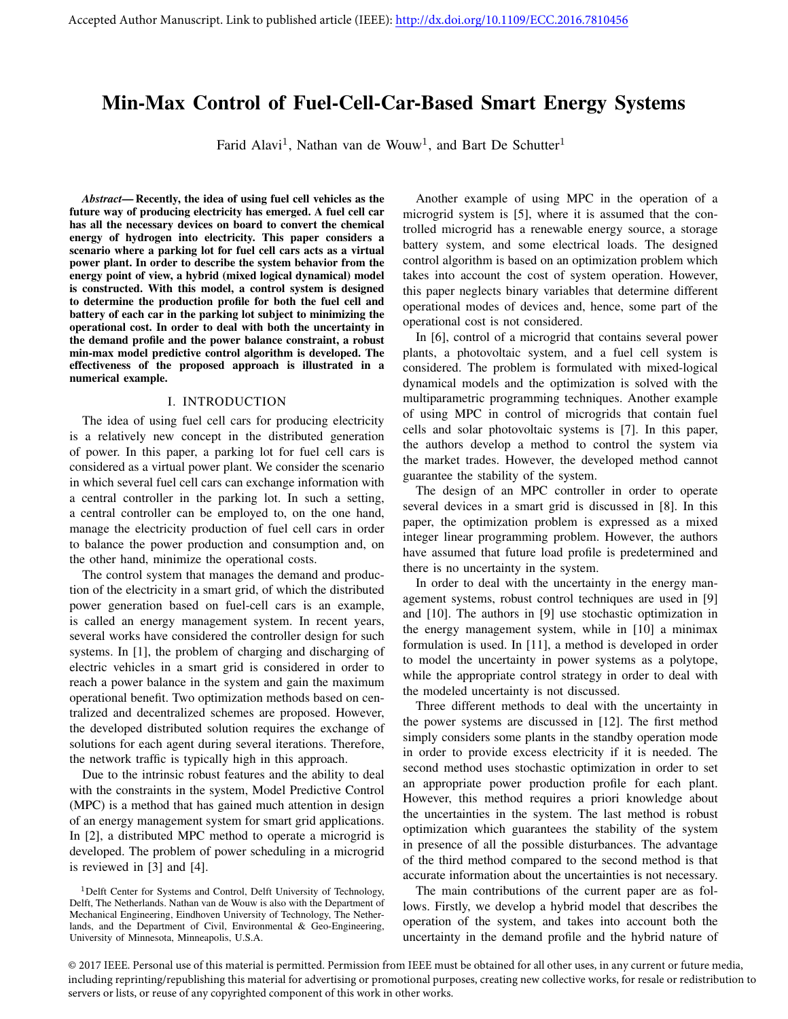# Min-Max Control of Fuel-Cell-Car-Based Smart Energy Systems

Farid Alavi<sup>1</sup>, Nathan van de Wouw<sup>1</sup>, and Bart De Schutter<sup>1</sup>

*Abstract*— Recently, the idea of using fuel cell vehicles as the future way of producing electricity has emerged. A fuel cell car has all the necessary devices on board to convert the chemical energy of hydrogen into electricity. This paper considers a scenario where a parking lot for fuel cell cars acts as a virtual power plant. In order to describe the system behavior from the energy point of view, a hybrid (mixed logical dynamical) model is constructed. With this model, a control system is designed to determine the production profile for both the fuel cell and battery of each car in the parking lot subject to minimizing the operational cost. In order to deal with both the uncertainty in the demand profile and the power balance constraint, a robust min-max model predictive control algorithm is developed. The effectiveness of the proposed approach is illustrated in a numerical example.

#### I. INTRODUCTION

The idea of using fuel cell cars for producing electricity is a relatively new concept in the distributed generation of power. In this paper, a parking lot for fuel cell cars is considered as a virtual power plant. We consider the scenario in which several fuel cell cars can exchange information with a central controller in the parking lot. In such a setting, a central controller can be employed to, on the one hand, manage the electricity production of fuel cell cars in order to balance the power production and consumption and, on the other hand, minimize the operational costs.

The control system that manages the demand and production of the electricity in a smart grid, of which the distributed power generation based on fuel-cell cars is an example, is called an energy management system. In recent years, several works have considered the controller design for such systems. In [1], the problem of charging and discharging of electric vehicles in a smart grid is considered in order to reach a power balance in the system and gain the maximum operational benefit. Two optimization methods based on centralized and decentralized schemes are proposed. However, the developed distributed solution requires the exchange of solutions for each agent during several iterations. Therefore, the network traffic is typically high in this approach.

Due to the intrinsic robust features and the ability to deal with the constraints in the system, Model Predictive Control (MPC) is a method that has gained much attention in design of an energy management system for smart grid applications. In [2], a distributed MPC method to operate a microgrid is developed. The problem of power scheduling in a microgrid is reviewed in [3] and [4].

<sup>1</sup>Delft Center for Systems and Control, Delft University of Technology, Delft, The Netherlands. Nathan van de Wouw is also with the Department of Mechanical Engineering, Eindhoven University of Technology, The Netherlands, and the Department of Civil, Environmental & Geo-Engineering, University of Minnesota, Minneapolis, U.S.A.

Another example of using MPC in the operation of a microgrid system is [5], where it is assumed that the controlled microgrid has a renewable energy source, a storage battery system, and some electrical loads. The designed control algorithm is based on an optimization problem which takes into account the cost of system operation. However, this paper neglects binary variables that determine different operational modes of devices and, hence, some part of the operational cost is not considered.

In [6], control of a microgrid that contains several power plants, a photovoltaic system, and a fuel cell system is considered. The problem is formulated with mixed-logical dynamical models and the optimization is solved with the multiparametric programming techniques. Another example of using MPC in control of microgrids that contain fuel cells and solar photovoltaic systems is [7]. In this paper, the authors develop a method to control the system via the market trades. However, the developed method cannot guarantee the stability of the system.

The design of an MPC controller in order to operate several devices in a smart grid is discussed in [8]. In this paper, the optimization problem is expressed as a mixed integer linear programming problem. However, the authors have assumed that future load profile is predetermined and there is no uncertainty in the system.

In order to deal with the uncertainty in the energy management systems, robust control techniques are used in [9] and [10]. The authors in [9] use stochastic optimization in the energy management system, while in [10] a minimax formulation is used. In [11], a method is developed in order to model the uncertainty in power systems as a polytope, while the appropriate control strategy in order to deal with the modeled uncertainty is not discussed.

Three different methods to deal with the uncertainty in the power systems are discussed in [12]. The first method simply considers some plants in the standby operation mode in order to provide excess electricity if it is needed. The second method uses stochastic optimization in order to set an appropriate power production profile for each plant. However, this method requires a priori knowledge about the uncertainties in the system. The last method is robust optimization which guarantees the stability of the system in presence of all the possible disturbances. The advantage of the third method compared to the second method is that accurate information about the uncertainties is not necessary.

The main contributions of the current paper are as follows. Firstly, we develop a hybrid model that describes the operation of the system, and takes into account both the uncertainty in the demand profile and the hybrid nature of

© 2017 IEEE. Personal use of this material is permitted. Permission from IEEE must be obtained for all other uses, in any current or future media, including reprinting/republishing this material for advertising or promotional purposes, creating new collective works, for resale or redistribution to servers or lists, or reuse of any copyrighted component of this work in other works.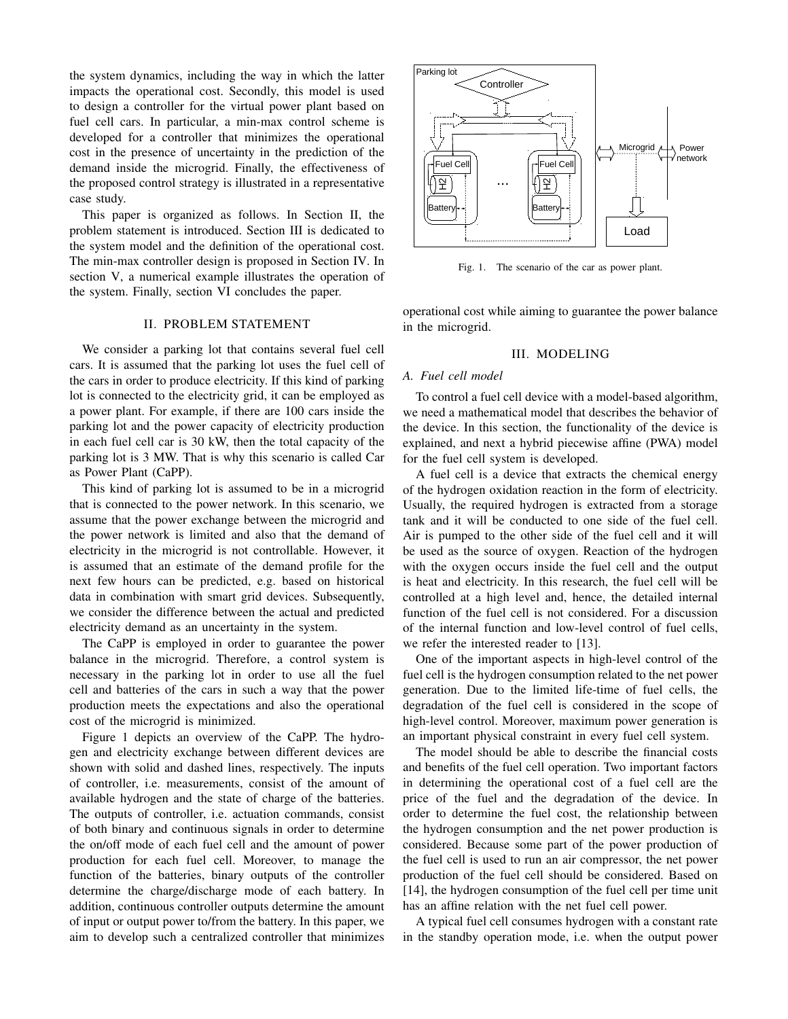the system dynamics, including the way in which the latter impacts the operational cost. Secondly, this model is used to design a controller for the virtual power plant based on fuel cell cars. In particular, a min-max control scheme is developed for a controller that minimizes the operational cost in the presence of uncertainty in the prediction of the demand inside the microgrid. Finally, the effectiveness of the proposed control strategy is illustrated in a representative case study.

This paper is organized as follows. In Section II, the problem statement is introduced. Section III is dedicated to the system model and the definition of the operational cost. The min-max controller design is proposed in Section IV. In section V, a numerical example illustrates the operation of the system. Finally, section VI concludes the paper.

### II. PROBLEM STATEMENT

We consider a parking lot that contains several fuel cell cars. It is assumed that the parking lot uses the fuel cell of the cars in order to produce electricity. If this kind of parking lot is connected to the electricity grid, it can be employed as a power plant. For example, if there are 100 cars inside the parking lot and the power capacity of electricity production in each fuel cell car is 30 kW, then the total capacity of the parking lot is 3 MW. That is why this scenario is called Car as Power Plant (CaPP).

This kind of parking lot is assumed to be in a microgrid that is connected to the power network. In this scenario, we assume that the power exchange between the microgrid and the power network is limited and also that the demand of electricity in the microgrid is not controllable. However, it is assumed that an estimate of the demand profile for the next few hours can be predicted, e.g. based on historical data in combination with smart grid devices. Subsequently, we consider the difference between the actual and predicted electricity demand as an uncertainty in the system.

The CaPP is employed in order to guarantee the power balance in the microgrid. Therefore, a control system is necessary in the parking lot in order to use all the fuel cell and batteries of the cars in such a way that the power production meets the expectations and also the operational cost of the microgrid is minimized.

Figure 1 depicts an overview of the CaPP. The hydrogen and electricity exchange between different devices are shown with solid and dashed lines, respectively. The inputs of controller, i.e. measurements, consist of the amount of available hydrogen and the state of charge of the batteries. The outputs of controller, i.e. actuation commands, consist of both binary and continuous signals in order to determine the on/off mode of each fuel cell and the amount of power production for each fuel cell. Moreover, to manage the function of the batteries, binary outputs of the controller determine the charge/discharge mode of each battery. In addition, continuous controller outputs determine the amount of input or output power to/from the battery. In this paper, we aim to develop such a centralized controller that minimizes



Fig. 1. The scenario of the car as power plant.

operational cost while aiming to guarantee the power balance in the microgrid.

# III. MODELING

#### *A. Fuel cell model*

To control a fuel cell device with a model-based algorithm, we need a mathematical model that describes the behavior of the device. In this section, the functionality of the device is explained, and next a hybrid piecewise affine (PWA) model for the fuel cell system is developed.

A fuel cell is a device that extracts the chemical energy of the hydrogen oxidation reaction in the form of electricity. Usually, the required hydrogen is extracted from a storage tank and it will be conducted to one side of the fuel cell. Air is pumped to the other side of the fuel cell and it will be used as the source of oxygen. Reaction of the hydrogen with the oxygen occurs inside the fuel cell and the output is heat and electricity. In this research, the fuel cell will be controlled at a high level and, hence, the detailed internal function of the fuel cell is not considered. For a discussion of the internal function and low-level control of fuel cells, we refer the interested reader to [13].

One of the important aspects in high-level control of the fuel cell is the hydrogen consumption related to the net power generation. Due to the limited life-time of fuel cells, the degradation of the fuel cell is considered in the scope of high-level control. Moreover, maximum power generation is an important physical constraint in every fuel cell system.

The model should be able to describe the financial costs and benefits of the fuel cell operation. Two important factors in determining the operational cost of a fuel cell are the price of the fuel and the degradation of the device. In order to determine the fuel cost, the relationship between the hydrogen consumption and the net power production is considered. Because some part of the power production of the fuel cell is used to run an air compressor, the net power production of the fuel cell should be considered. Based on [14], the hydrogen consumption of the fuel cell per time unit has an affine relation with the net fuel cell power.

A typical fuel cell consumes hydrogen with a constant rate in the standby operation mode, i.e. when the output power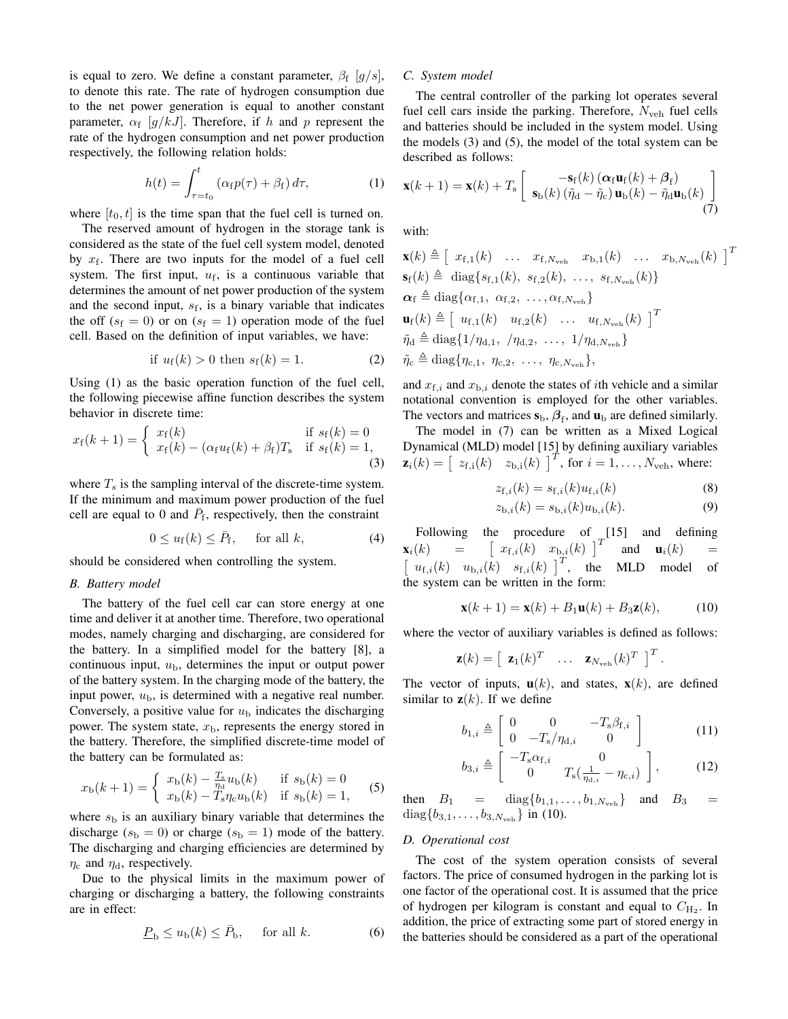is equal to zero. We define a constant parameter,  $\beta_f$  [g/s], to denote this rate. The rate of hydrogen consumption due to the net power generation is equal to another constant parameter,  $\alpha_f$  [ $g/kJ$ ]. Therefore, if h and p represent the rate of the hydrogen consumption and net power production respectively, the following relation holds:

$$
h(t) = \int_{\tau=t_0}^t \left( \alpha_f p(\tau) + \beta_f \right) d\tau, \tag{1}
$$

where  $[t_0, t]$  is the time span that the fuel cell is turned on.

The reserved amount of hydrogen in the storage tank is considered as the state of the fuel cell system model, denoted by  $x_f$ . There are two inputs for the model of a fuel cell system. The first input,  $u_f$ , is a continuous variable that determines the amount of net power production of the system and the second input,  $s_f$ , is a binary variable that indicates the off  $(s_f = 0)$  or on  $(s_f = 1)$  operation mode of the fuel cell. Based on the definition of input variables, we have:

if 
$$
u_f(k) > 0
$$
 then  $s_f(k) = 1$ . (2)

Using (1) as the basic operation function of the fuel cell, the following piecewise affine function describes the system behavior in discrete time:

$$
x_{\rm f}(k+1) = \begin{cases} x_{\rm f}(k) & \text{if } s_{\rm f}(k) = 0\\ x_{\rm f}(k) - (\alpha_{\rm f} u_{\rm f}(k) + \beta_{\rm f}) T_{\rm s} & \text{if } s_{\rm f}(k) = 1, \end{cases}
$$
(3)

where  $T<sub>s</sub>$  is the sampling interval of the discrete-time system. If the minimum and maximum power production of the fuel cell are equal to 0 and  $\bar{P}_f$ , respectively, then the constraint

$$
0 \le u_f(k) \le \bar{P}_f, \quad \text{for all } k,\tag{4}
$$

should be considered when controlling the system.

#### *B. Battery model*

The battery of the fuel cell car can store energy at one time and deliver it at another time. Therefore, two operational modes, namely charging and discharging, are considered for the battery. In a simplified model for the battery [8], a continuous input,  $u<sub>b</sub>$ , determines the input or output power of the battery system. In the charging mode of the battery, the input power,  $u<sub>b</sub>$ , is determined with a negative real number. Conversely, a positive value for  $u<sub>b</sub>$  indicates the discharging power. The system state,  $x<sub>b</sub>$ , represents the energy stored in the battery. Therefore, the simplified discrete-time model of the battery can be formulated as:

$$
x_{\rm b}(k+1) = \begin{cases} x_{\rm b}(k) - \frac{T_{\rm s}}{\eta_{\rm d}} u_{\rm b}(k) & \text{if } s_{\rm b}(k) = 0\\ x_{\rm b}(k) - T_{\rm s} \eta_{\rm c} u_{\rm b}(k) & \text{if } s_{\rm b}(k) = 1, \end{cases}
$$
(5)

where  $s<sub>b</sub>$  is an auxiliary binary variable that determines the discharge ( $s<sub>b</sub> = 0$ ) or charge ( $s<sub>b</sub> = 1$ ) mode of the battery. The discharging and charging efficiencies are determined by  $\eta_c$  and  $\eta_d$ , respectively.

Due to the physical limits in the maximum power of charging or discharging a battery, the following constraints are in effect:

$$
\underline{P}_{\mathrm{b}} \le u_{\mathrm{b}}(k) \le \bar{P}_{\mathrm{b}}, \quad \text{for all } k. \tag{6}
$$

## *C. System model*

The central controller of the parking lot operates several fuel cell cars inside the parking. Therefore,  $N_{\text{veh}}$  fuel cells and batteries should be included in the system model. Using the models (3) and (5), the model of the total system can be described as follows:

$$
\mathbf{x}(k+1) = \mathbf{x}(k) + T_{\rm s} \begin{bmatrix} -\mathbf{s}_{\rm f}(k) \left( \boldsymbol{\alpha}_{\rm f} \mathbf{u}_{\rm f}(k) + \boldsymbol{\beta}_{\rm f} \right) \\ \mathbf{s}_{\rm b}(k) \left( \tilde{\eta}_{\rm d} - \tilde{\eta}_{\rm c} \right) \mathbf{u}_{\rm b}(k) - \tilde{\eta}_{\rm d} \mathbf{u}_{\rm b}(k) \end{bmatrix} \tag{7}
$$

with:

$$
\mathbf{x}(k) \triangleq \begin{bmatrix} x_{\text{f},1}(k) & \dots & x_{\text{f},N_{\text{veh}}} & x_{\text{b},1}(k) & \dots & x_{\text{b},N_{\text{veh}}}(k) \end{bmatrix}^T
$$
\n
$$
\mathbf{s}_{\text{f}}(k) \triangleq \text{diag}\{s_{\text{f},1}(k), s_{\text{f},2}(k), \dots, s_{\text{f},N_{\text{veh}}}(k)\}
$$
\n
$$
\alpha_{\text{f}} \triangleq \text{diag}\{\alpha_{\text{f},1}, \alpha_{\text{f},2}, \dots, \alpha_{\text{f},N_{\text{veh}}}\}
$$
\n
$$
\mathbf{u}_{\text{f}}(k) \triangleq \begin{bmatrix} u_{\text{f},1}(k) & u_{\text{f},2}(k) & \dots & u_{\text{f},N_{\text{veh}}}(k) \end{bmatrix}^T
$$
\n
$$
\tilde{\eta}_{\text{d}} \triangleq \text{diag}\{1/\eta_{\text{d},1}, \gamma_{\text{d},2}, \dots, 1/\eta_{\text{d},N_{\text{veh}}}\}
$$
\n
$$
\tilde{\eta}_{\text{c}} \triangleq \text{diag}\{\eta_{\text{c},1}, \eta_{\text{c},2}, \dots, \eta_{\text{c},N_{\text{veh}}}\},
$$

and  $x_{f,i}$  and  $x_{b,i}$  denote the states of *i*th vehicle and a similar notational convention is employed for the other variables. The vectors and matrices  $s_{b}$ ,  $\beta_{f}$ , and  $u_{b}$  are defined similarly.

The model in (7) can be written as a Mixed Logical Dynamical (MLD) model [15] by defining auxiliary variables  $\mathbf{z}_i(k) = \begin{bmatrix} z_{\text{f,i}}(k) & z_{\text{b,i}}(k) \end{bmatrix}^T$ , for  $i = 1, \dots, N_{\text{veh}},$  where:

$$
z_{\mathbf{f},i}(k) = s_{\mathbf{f},i}(k) u_{\mathbf{f},i}(k)
$$
 (8)

$$
z_{\mathbf{b},i}(k) = s_{\mathbf{b},i}(k)u_{\mathbf{b},i}(k). \tag{9}
$$

Following the procedure of [15] and defining<br>  $(k)$  =  $\left[x_{\text{f},i}(k) \quad x_{\text{b},i}(k)\right]^{T}$  and  $\mathbf{u}_i(k)$  =  $\mathbf{x}_i(k) =$  $u_{f,i}(k)$   $u_{b,i}(k)$   $s_{f,i}(k)$  |<sup>T</sup>, the MLD model of the system can be written in the form:

$$
\mathbf{x}(k+1) = \mathbf{x}(k) + B_1 \mathbf{u}(k) + B_3 \mathbf{z}(k), \quad (10)
$$

where the vector of auxiliary variables is defined as follows:

$$
\mathbf{z}(k) = \begin{bmatrix} \mathbf{z}_1(k)^T & \dots & \mathbf{z}_{N_{\text{veh}}}(k)^T \end{bmatrix}^T.
$$

The vector of inputs,  $\mathbf{u}(k)$ , and states,  $\mathbf{x}(k)$ , are defined similar to  $z(k)$ . If we define

$$
b_{1,i} \triangleq \left[ \begin{array}{cc} 0 & 0 & -T_{\rm s} \beta_{\rm f,i} \\ 0 & -T_{\rm s} / \eta_{\rm d,i} & 0 \end{array} \right] \tag{11}
$$

$$
b_{3,i} \triangleq \begin{bmatrix} -T_s \alpha_{\text{f},i} & 0\\ 0 & T_s(\frac{1}{\eta_{\text{d},i}} - \eta_{\text{c},i}) \end{bmatrix},
$$
 (12)

then  $B_1 = \text{diag}\{b_{1,1}, \ldots, b_{1,N_{\text{veh}}}\}\$  and  $B_3 =$  $diag\{b_{3,1}, \ldots, b_{3,N_{\text{veh}}}\}\$ in (10).

## *D. Operational cost*

The cost of the system operation consists of several factors. The price of consumed hydrogen in the parking lot is one factor of the operational cost. It is assumed that the price of hydrogen per kilogram is constant and equal to  $C_{\text{H}_2}$ . In addition, the price of extracting some part of stored energy in the batteries should be considered as a part of the operational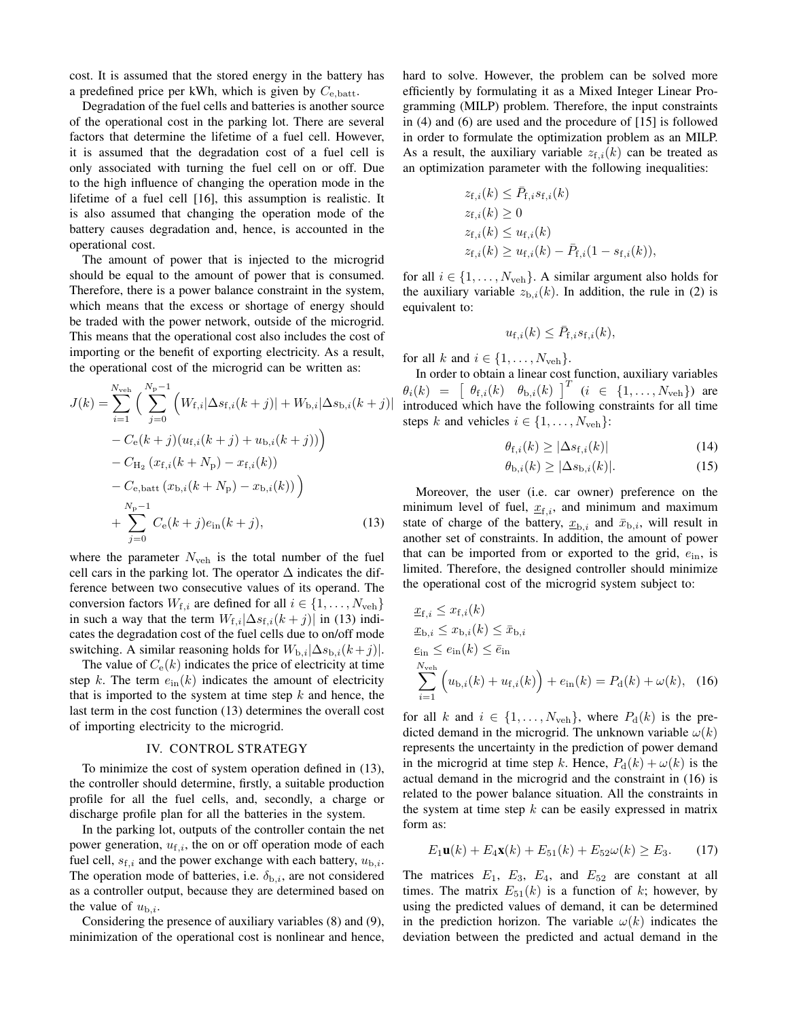cost. It is assumed that the stored energy in the battery has a predefined price per kWh, which is given by  $C_{e,batt}$ .

Degradation of the fuel cells and batteries is another source of the operational cost in the parking lot. There are several factors that determine the lifetime of a fuel cell. However, it is assumed that the degradation cost of a fuel cell is only associated with turning the fuel cell on or off. Due to the high influence of changing the operation mode in the lifetime of a fuel cell [16], this assumption is realistic. It is also assumed that changing the operation mode of the battery causes degradation and, hence, is accounted in the operational cost.

The amount of power that is injected to the microgrid should be equal to the amount of power that is consumed. Therefore, there is a power balance constraint in the system, which means that the excess or shortage of energy should be traded with the power network, outside of the microgrid. This means that the operational cost also includes the cost of importing or the benefit of exporting electricity. As a result, the operational cost of the microgrid can be written as:

$$
J(k) = \sum_{i=1}^{N_{\text{veh}}} \left( \sum_{j=0}^{N_{\text{p}}-1} \left( W_{\text{f},i}|\Delta s_{\text{f},i}(k+j)| + W_{\text{b},i}|\Delta s_{\text{b},i}(k+j)| \right) \right. \\
\left. - C_{\text{e}}(k+j)(u_{\text{f},i}(k+j) + u_{\text{b},i}(k+j)) \right) \\
\left. - C_{\text{H}_2} (x_{\text{f},i}(k+N_{\text{p}}) - x_{\text{f},i}(k)) \right. \\
\left. - C_{\text{e},\text{batt}} (x_{\text{b},i}(k+N_{\text{p}}) - x_{\text{b},i}(k)) \right) \\
\left. + \sum_{j=0}^{N_{\text{p}}-1} C_{\text{e}}(k+j)e_{\text{in}}(k+j), \right. \tag{13}
$$

where the parameter  $N_{\text{veh}}$  is the total number of the fuel cell cars in the parking lot. The operator  $\Delta$  indicates the difference between two consecutive values of its operand. The conversion factors  $W_{f,i}$  are defined for all  $i \in \{1, \ldots, N_{\text{veh}}\}$ in such a way that the term  $W_{f,i}|\Delta s_{f,i}(k+j)|$  in (13) indicates the degradation cost of the fuel cells due to on/off mode switching. A similar reasoning holds for  $W_{b,i}|\Delta s_{b,i}(k+j)|$ .

The value of  $C_e(k)$  indicates the price of electricity at time step k. The term  $e_{\text{in}}(k)$  indicates the amount of electricity that is imported to the system at time step  $k$  and hence, the last term in the cost function (13) determines the overall cost of importing electricity to the microgrid.

#### IV. CONTROL STRATEGY

To minimize the cost of system operation defined in (13), the controller should determine, firstly, a suitable production profile for all the fuel cells, and, secondly, a charge or discharge profile plan for all the batteries in the system.

In the parking lot, outputs of the controller contain the net power generation,  $u_{f,i}$ , the on or off operation mode of each fuel cell,  $s_{f,i}$  and the power exchange with each battery,  $u_{b,i}$ . The operation mode of batteries, i.e.  $\delta_{b,i}$ , are not considered as a controller output, because they are determined based on the value of  $u_{\text{b},i}$ .

Considering the presence of auxiliary variables (8) and (9), minimization of the operational cost is nonlinear and hence,

hard to solve. However, the problem can be solved more efficiently by formulating it as a Mixed Integer Linear Programming (MILP) problem. Therefore, the input constraints in (4) and (6) are used and the procedure of [15] is followed in order to formulate the optimization problem as an MILP. As a result, the auxiliary variable  $z_i(k)$  can be treated as an optimization parameter with the following inequalities:

$$
z_{f,i}(k) \leq \bar{P}_{f,i} s_{f,i}(k)
$$
  
\n
$$
z_{f,i}(k) \geq 0
$$
  
\n
$$
z_{f,i}(k) \leq u_{f,i}(k)
$$
  
\n
$$
z_{f,i}(k) \geq u_{f,i}(k) - \bar{P}_{f,i}(1 - s_{f,i}(k)),
$$

for all  $i \in \{1, \ldots, N_{\text{veh}}\}$ . A similar argument also holds for the auxiliary variable  $z_{b,i}(k)$ . In addition, the rule in (2) is equivalent to:

$$
u_{\mathrm{f},i}(k) \leq \bar{P}_{\mathrm{f},i} s_{\mathrm{f},i}(k),
$$

for all k and  $i \in \{1, \ldots, N_{\text{veh}}\}.$ 

In order to obtain a linear cost function, auxiliary variables  $\theta_i(k) = \begin{bmatrix} \theta_{\text{f},i}(k) & \theta_{\text{b},i}(k) \end{bmatrix}^T$   $(i \in \{1, ..., N_{\text{veh}}\})$  are introduced which have the following constraints for all time steps k and vehicles  $i \in \{1, \ldots, N_{\text{veh}}\}$ :

$$
\theta_{\mathbf{f},i}(k) \ge |\Delta s_{\mathbf{f},i}(k)|\tag{14}
$$

$$
\theta_{\mathbf{b},i}(k) \ge |\Delta s_{\mathbf{b},i}(k)|. \tag{15}
$$

Moreover, the user (i.e. car owner) preference on the minimum level of fuel,  $\underline{x}_{f,i}$ , and minimum and maximum state of charge of the battery,  $\underline{x}_{b,i}$  and  $\overline{x}_{b,i}$ , will result in another set of constraints. In addition, the amount of power that can be imported from or exported to the grid,  $e_{\text{in}}$ , is limited. Therefore, the designed controller should minimize the operational cost of the microgrid system subject to:

$$
\underline{x}_{f,i} \leq x_{f,i}(k)
$$
\n
$$
\underline{x}_{b,i} \leq x_{b,i}(k) \leq \bar{x}_{b,i}
$$
\n
$$
\underline{e}_{in} \leq e_{in}(k) \leq \bar{e}_{in}
$$
\n
$$
\sum_{i=1}^{N_{\text{veh}}} \left( u_{b,i}(k) + u_{f,i}(k) \right) + e_{in}(k) = P_d(k) + \omega(k), \quad (16)
$$

for all k and  $i \in \{1, \ldots, N_{\text{veh}}\}$ , where  $P_d(k)$  is the predicted demand in the microgrid. The unknown variable  $\omega(k)$ represents the uncertainty in the prediction of power demand in the microgrid at time step k. Hence,  $P_d(k) + \omega(k)$  is the actual demand in the microgrid and the constraint in (16) is related to the power balance situation. All the constraints in the system at time step  $k$  can be easily expressed in matrix form as:

$$
E_1\mathbf{u}(k) + E_4\mathbf{x}(k) + E_{51}(k) + E_{52}\omega(k) \ge E_3.
$$
 (17)

The matrices  $E_1$ ,  $E_3$ ,  $E_4$ , and  $E_{52}$  are constant at all times. The matrix  $E_{51}(k)$  is a function of k; however, by using the predicted values of demand, it can be determined in the prediction horizon. The variable  $\omega(k)$  indicates the deviation between the predicted and actual demand in the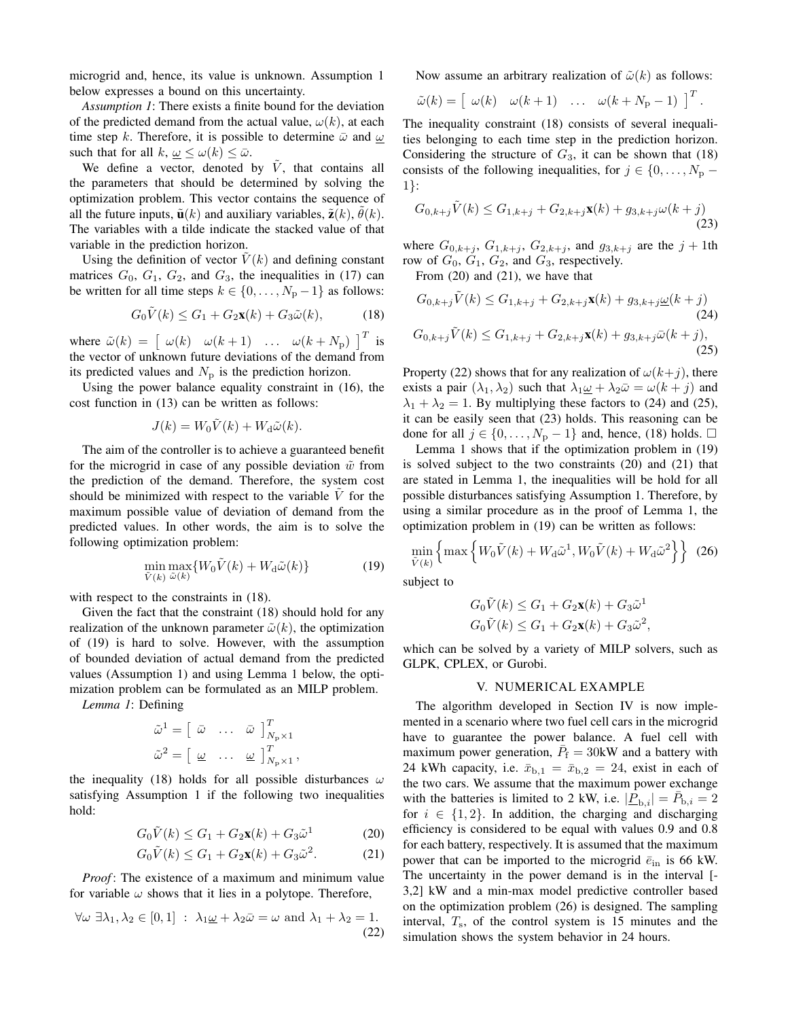microgrid and, hence, its value is unknown. Assumption 1 below expresses a bound on this uncertainty.

*Assumption 1*: There exists a finite bound for the deviation of the predicted demand from the actual value,  $\omega(k)$ , at each time step k. Therefore, it is possible to determine  $\bar{\omega}$  and  $\omega$ such that for all  $k, \omega \leq \omega(k) \leq \bar{\omega}$ .

We define a vector, denoted by  $\tilde{V}$ , that contains all the parameters that should be determined by solving the optimization problem. This vector contains the sequence of all the future inputs,  $\tilde{\mathbf{u}}(k)$  and auxiliary variables,  $\tilde{\mathbf{z}}(k)$ ,  $\tilde{\theta}(k)$ . The variables with a tilde indicate the stacked value of that variable in the prediction horizon.

Using the definition of vector  $V(k)$  and defining constant matrices  $G_0$ ,  $G_1$ ,  $G_2$ , and  $G_3$ , the inequalities in (17) can be written for all time steps  $k \in \{0, \ldots, N_p - 1\}$  as follows:

$$
G_0\tilde{V}(k) \le G_1 + G_2\mathbf{x}(k) + G_3\tilde{\omega}(k),\tag{18}
$$

where  $\tilde{\omega}(k) = \begin{bmatrix} \omega(k) & \omega(k+1) & \dots & \omega(k+N_p) \end{bmatrix}^T$  is the vector of unknown future deviations of the demand from its predicted values and  $N_{\rm p}$  is the prediction horizon.

Using the power balance equality constraint in (16), the cost function in (13) can be written as follows:

$$
J(k) = W_0 \tilde{V}(k) + W_\mathrm{d}\tilde{\omega}(k).
$$

The aim of the controller is to achieve a guaranteed benefit for the microgrid in case of any possible deviation  $\tilde{w}$  from the prediction of the demand. Therefore, the system cost should be minimized with respect to the variable  $V$  for the maximum possible value of deviation of demand from the predicted values. In other words, the aim is to solve the following optimization problem:

$$
\min_{\tilde{V}(k)} \max_{\tilde{\omega}(k)} \{ W_0 \tilde{V}(k) + W_d \tilde{\omega}(k) \}
$$
\n(19)

with respect to the constraints in (18).

Given the fact that the constraint (18) should hold for any realization of the unknown parameter  $\tilde{\omega}(k)$ , the optimization of (19) is hard to solve. However, with the assumption of bounded deviation of actual demand from the predicted values (Assumption 1) and using Lemma 1 below, the optimization problem can be formulated as an MILP problem.

*Lemma 1*: Defining

$$
\begin{aligned}\n\tilde{\omega}^1 &= \left[ \begin{array}{cccc} \bar{\omega} & \dots & \bar{\omega} \end{array} \right]_{N_{\rm p} \times 1}^T \\
\tilde{\omega}^2 &= \left[ \begin{array}{cccc} \underline{\omega} & \dots & \underline{\omega} \end{array} \right]_{N_{\rm p} \times 1}^T,\n\end{aligned}
$$

the inequality (18) holds for all possible disturbances  $\omega$ satisfying Assumption 1 if the following two inequalities hold:

$$
G_0\tilde{V}(k) \le G_1 + G_2\mathbf{x}(k) + G_3\tilde{\omega}^1 \tag{20}
$$

$$
G_0\tilde{V}(k) \le G_1 + G_2\mathbf{x}(k) + G_3\tilde{\omega}^2.
$$
 (21)

*Proof*: The existence of a maximum and minimum value for variable  $\omega$  shows that it lies in a polytope. Therefore,

$$
\forall \omega \; \exists \lambda_1, \lambda_2 \in [0, 1] : \lambda_1 \underline{\omega} + \lambda_2 \overline{\omega} = \omega \text{ and } \lambda_1 + \lambda_2 = 1.
$$
\n(22)

Now assume an arbitrary realization of  $\tilde{\omega}(k)$  as follows:

$$
\tilde{\omega}(k) = \left[ \begin{array}{cccc} \omega(k) & \omega(k+1) & \dots & \omega(k+N_{\rm p}-1) \end{array} \right]^T.
$$

The inequality constraint (18) consists of several inequalities belonging to each time step in the prediction horizon. Considering the structure of  $G_3$ , it can be shown that (18) consists of the following inequalities, for  $j \in \{0, \ldots, N_{p} - \}$ 1}:

$$
G_{0,k+j}\tilde{V}(k) \le G_{1,k+j} + G_{2,k+j}\mathbf{x}(k) + g_{3,k+j}\omega(k+j)
$$
\n(23)

where  $G_{0,k+j}$ ,  $G_{1,k+j}$ ,  $G_{2,k+j}$ , and  $g_{3,k+j}$  are the  $j+1$ th row of  $G_0$ ,  $G_1$ ,  $G_2$ , and  $G_3$ , respectively.

From (20) and (21), we have that

$$
G_{0,k+j}\tilde{V}(k) \leq G_{1,k+j} + G_{2,k+j}\mathbf{x}(k) + g_{3,k+j}\underline{\omega}(k+j)
$$
\n(24)  
\n
$$
G_{0,k+j}\tilde{V}(k) \leq G_{1,k+j} + G_{2,k+j}\mathbf{x}(k) + g_{3,k+j}\bar{\omega}(k+j),
$$
\n(25)

Property (22) shows that for any realization of  $\omega(k+j)$ , there exists a pair  $(\lambda_1, \lambda_2)$  such that  $\lambda_1 \underline{\omega} + \lambda_2 \overline{\omega} = \omega(k + j)$  and  $\lambda_1 + \lambda_2 = 1$ . By multiplying these factors to (24) and (25), it can be easily seen that (23) holds. This reasoning can be done for all  $j \in \{0, ..., N_p - 1\}$  and, hence, (18) holds. □

Lemma 1 shows that if the optimization problem in (19) is solved subject to the two constraints (20) and (21) that are stated in Lemma 1, the inequalities will be hold for all possible disturbances satisfying Assumption 1. Therefore, by using a similar procedure as in the proof of Lemma 1, the optimization problem in (19) can be written as follows:

$$
\min_{\tilde{V}(k)} \left\{ \max \left\{ W_0 \tilde{V}(k) + W_\mathrm{d} \tilde{\omega}^1, W_0 \tilde{V}(k) + W_\mathrm{d} \tilde{\omega}^2 \right\} \right\} (26)
$$

subject to

$$
G_0\tilde{V}(k) \le G_1 + G_2\mathbf{x}(k) + G_3\tilde{\omega}^1
$$
  

$$
G_0\tilde{V}(k) \le G_1 + G_2\mathbf{x}(k) + G_3\tilde{\omega}^2,
$$

which can be solved by a variety of MILP solvers, such as GLPK, CPLEX, or Gurobi.

## V. NUMERICAL EXAMPLE

The algorithm developed in Section IV is now implemented in a scenario where two fuel cell cars in the microgrid have to guarantee the power balance. A fuel cell with maximum power generation,  $\overline{P}_f = 30$ kW and a battery with 24 kWh capacity, i.e.  $\bar{x}_{b,1} = \bar{x}_{b,2} = 24$ , exist in each of the two cars. We assume that the maximum power exchange with the batteries is limited to 2 kW, i.e.  $|\underline{\tilde{P}}_{b,i}| = \bar{P}_{b,i} = 2$ for  $i \in \{1, 2\}$ . In addition, the charging and discharging efficiency is considered to be equal with values 0.9 and 0.8 for each battery, respectively. It is assumed that the maximum power that can be imported to the microgrid  $\bar{e}_{\text{in}}$  is 66 kW. The uncertainty in the power demand is in the interval [- 3,2] kW and a min-max model predictive controller based on the optimization problem (26) is designed. The sampling interval,  $T_s$ , of the control system is 15 minutes and the simulation shows the system behavior in 24 hours.